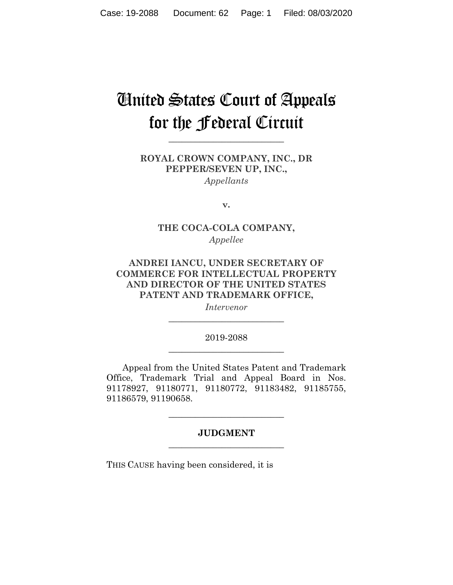## United States Court of Appeals for the Federal Circuit

**\_\_\_\_\_\_\_\_\_\_\_\_\_\_\_\_\_\_\_\_\_\_\_\_\_\_** 

## **ROYAL CROWN COMPANY, INC., DR PEPPER/SEVEN UP, INC.,**  *Appellants*

**v.**

## **THE COCA-COLA COMPANY,**  *Appellee*

## **ANDREI IANCU, UNDER SECRETARY OF COMMERCE FOR INTELLECTUAL PROPERTY AND DIRECTOR OF THE UNITED STATES PATENT AND TRADEMARK OFFICE,**

*Intervenor* **\_\_\_\_\_\_\_\_\_\_\_\_\_\_\_\_\_\_\_\_\_\_\_\_\_\_** 

## 2019-2088 **\_\_\_\_\_\_\_\_\_\_\_\_\_\_\_\_\_\_\_\_\_\_\_\_\_\_**

Appeal from the United States Patent and Trademark Office, Trademark Trial and Appeal Board in Nos. 91178927, 91180771, 91180772, 91183482, 91185755, 91186579, 91190658.

## **JUDGMENT \_\_\_\_\_\_\_\_\_\_\_\_\_\_\_\_\_\_\_\_\_\_\_\_\_\_**

**\_\_\_\_\_\_\_\_\_\_\_\_\_\_\_\_\_\_\_\_\_\_\_\_\_\_** 

THIS CAUSE having been considered, it is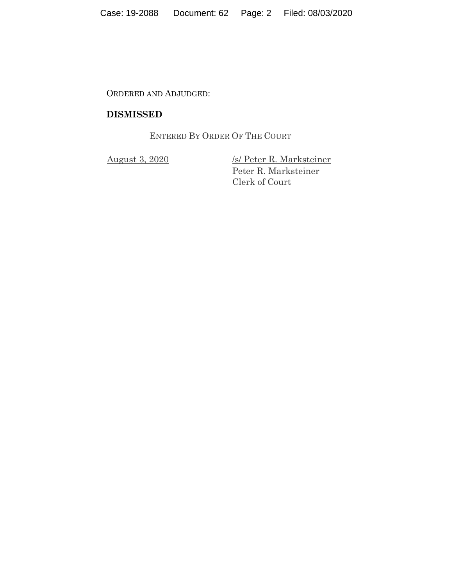ORDERED AND ADJUDGED:

## **DISMISSED**

ENTERED BY ORDER OF THE COURT

August 3, 2020 /s/ Peter R. Marksteiner Peter R. Marksteiner Clerk of Court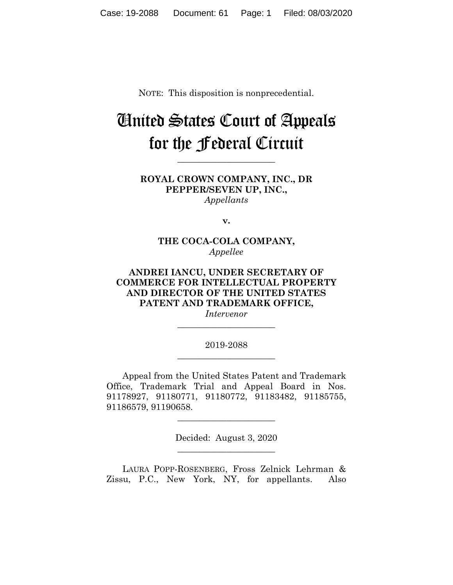NOTE: This disposition is nonprecedential.

# United States Court of Appeals for the Federal Circuit

**\_\_\_\_\_\_\_\_\_\_\_\_\_\_\_\_\_\_\_\_\_\_** 

**ROYAL CROWN COMPANY, INC., DR PEPPER/SEVEN UP, INC.,** *Appellants*

**v.**

**THE COCA-COLA COMPANY,** *Appellee*

**ANDREI IANCU, UNDER SECRETARY OF COMMERCE FOR INTELLECTUAL PROPERTY AND DIRECTOR OF THE UNITED STATES PATENT AND TRADEMARK OFFICE,**

*Intervenor* **\_\_\_\_\_\_\_\_\_\_\_\_\_\_\_\_\_\_\_\_\_\_** 

2019-2088 **\_\_\_\_\_\_\_\_\_\_\_\_\_\_\_\_\_\_\_\_\_\_** 

Appeal from the United States Patent and Trademark Office, Trademark Trial and Appeal Board in Nos. 91178927, 91180771, 91180772, 91183482, 91185755, 91186579, 91190658.

> Decided: August 3, 2020  $\overline{\phantom{a}}$  , where  $\overline{\phantom{a}}$  , where  $\overline{\phantom{a}}$  , where  $\overline{\phantom{a}}$

 $\overline{\phantom{a}}$  , where  $\overline{\phantom{a}}$  , where  $\overline{\phantom{a}}$  , where  $\overline{\phantom{a}}$ 

LAURA POPP-ROSENBERG, Fross Zelnick Lehrman & Zissu, P.C., New York, NY, for appellants. Also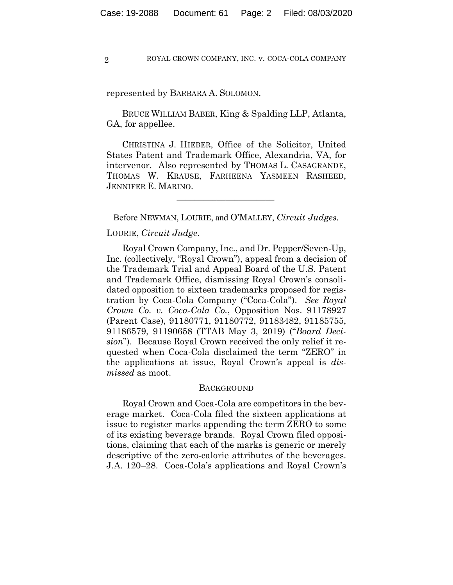represented by BARBARA A. SOLOMON.

 BRUCE WILLIAM BABER, King & Spalding LLP, Atlanta, GA, for appellee.

 CHRISTINA J. HIEBER, Office of the Solicitor, United States Patent and Trademark Office, Alexandria, VA, for intervenor. Also represented by THOMAS L. CASAGRANDE, THOMAS W. KRAUSE, FARHEENA YASMEEN RASHEED, JENNIFER E. MARINO.

Before NEWMAN, LOURIE, and O'MALLEY, *Circuit Judges.*

 $\mathcal{L}_\text{max}$  and  $\mathcal{L}_\text{max}$  and  $\mathcal{L}_\text{max}$  and  $\mathcal{L}_\text{max}$ 

#### LOURIE, *Circuit Judge*.

Royal Crown Company, Inc., and Dr. Pepper/Seven-Up, Inc. (collectively, "Royal Crown"), appeal from a decision of the Trademark Trial and Appeal Board of the U.S. Patent and Trademark Office, dismissing Royal Crown's consolidated opposition to sixteen trademarks proposed for registration by Coca-Cola Company ("Coca-Cola"). *See Royal Crown Co. v. Coca-Cola Co.*, Opposition Nos. 91178927 (Parent Case), 91180771, 91180772, 91183482, 91185755, 91186579, 91190658 (TTAB May 3, 2019) ("*Board Decision*"). Because Royal Crown received the only relief it requested when Coca-Cola disclaimed the term "ZERO" in the applications at issue, Royal Crown's appeal is *dismissed* as moot.

#### **BACKGROUND**

Royal Crown and Coca-Cola are competitors in the beverage market. Coca-Cola filed the sixteen applications at issue to register marks appending the term ZERO to some of its existing beverage brands. Royal Crown filed oppositions, claiming that each of the marks is generic or merely descriptive of the zero-calorie attributes of the beverages. J.A. 120–28. Coca-Cola's applications and Royal Crown's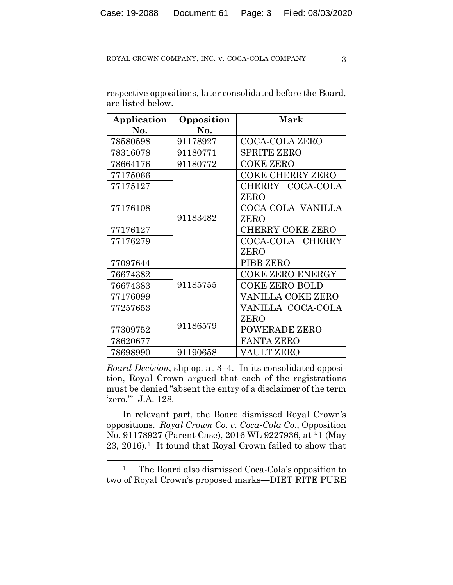| Application | Opposition | Mark                    |
|-------------|------------|-------------------------|
| No.         | No.        |                         |
| 78580598    | 91178927   | <b>COCA-COLA ZERO</b>   |
| 78316078    | 91180771   | <b>SPRITE ZERO</b>      |
| 78664176    | 91180772   | <b>COKE ZERO</b>        |
| 77175066    |            | <b>COKE CHERRY ZERO</b> |
| 77175127    |            | CHERRY COCA-COLA        |
|             |            | ZERO                    |
| 77176108    |            | COCA-COLA VANILLA       |
|             | 91183482   | ZERO                    |
| 77176127    |            | <b>CHERRY COKE ZERO</b> |
| 77176279    |            | COCA-COLA CHERRY        |
|             |            | ZERO                    |
| 77097644    |            | PIBB ZERO               |
| 76674382    |            | <b>COKE ZERO ENERGY</b> |
| 76674383    | 91185755   | <b>COKE ZERO BOLD</b>   |
| 77176099    |            | VANILLA COKE ZERO       |
| 77257653    |            | VANILLA COCA-COLA       |
|             |            | ZERO                    |
| 77309752    | 91186579   | <b>POWERADE ZERO</b>    |
| 78620677    |            | <b>FANTA ZERO</b>       |
| 78698990    | 91190658   | VAULT ZERO              |

respective oppositions, later consolidated before the Board, are listed below.

*Board Decision*, slip op. at 3–4. In its consolidated opposition, Royal Crown argued that each of the registrations must be denied "absent the entry of a disclaimer of the term 'zero.'" J.A. 128.

In relevant part, the Board dismissed Royal Crown's oppositions. *Royal Crown Co. v. Coca-Cola Co.*, Opposition No. 91178927 (Parent Case), 2016 WL 9227936, at \*1 (May 23, 2016).1 It found that Royal Crown failed to show that

<sup>&</sup>lt;sup>1</sup> The Board also dismissed Coca-Cola's opposition to two of Royal Crown's proposed marks—DIET RITE PURE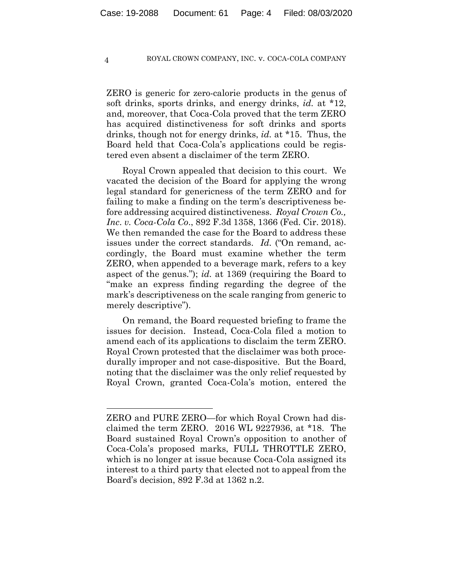ZERO is generic for zero-calorie products in the genus of soft drinks, sports drinks, and energy drinks, *id.* at \*12, and, moreover, that Coca-Cola proved that the term ZERO has acquired distinctiveness for soft drinks and sports drinks, though not for energy drinks, *id.* at \*15. Thus, the Board held that Coca-Cola's applications could be registered even absent a disclaimer of the term ZERO.

Royal Crown appealed that decision to this court. We vacated the decision of the Board for applying the wrong legal standard for genericness of the term ZERO and for failing to make a finding on the term's descriptiveness before addressing acquired distinctiveness. *Royal Crown Co., Inc*. *v. Coca-Cola Co*., 892 F.3d 1358, 1366 (Fed. Cir. 2018). We then remanded the case for the Board to address these issues under the correct standards. *Id.* ("On remand, accordingly, the Board must examine whether the term ZERO, when appended to a beverage mark, refers to a key aspect of the genus."); *id.* at 1369 (requiring the Board to "make an express finding regarding the degree of the mark's descriptiveness on the scale ranging from generic to merely descriptive").

On remand, the Board requested briefing to frame the issues for decision. Instead, Coca-Cola filed a motion to amend each of its applications to disclaim the term ZERO. Royal Crown protested that the disclaimer was both procedurally improper and not case-dispositive. But the Board, noting that the disclaimer was the only relief requested by Royal Crown, granted Coca-Cola's motion, entered the

ZERO and PURE ZERO—for which Royal Crown had disclaimed the term ZERO. 2016 WL 9227936, at \*18. The Board sustained Royal Crown's opposition to another of Coca-Cola's proposed marks, FULL THROTTLE ZERO, which is no longer at issue because Coca-Cola assigned its interest to a third party that elected not to appeal from the Board's decision, 892 F.3d at 1362 n.2.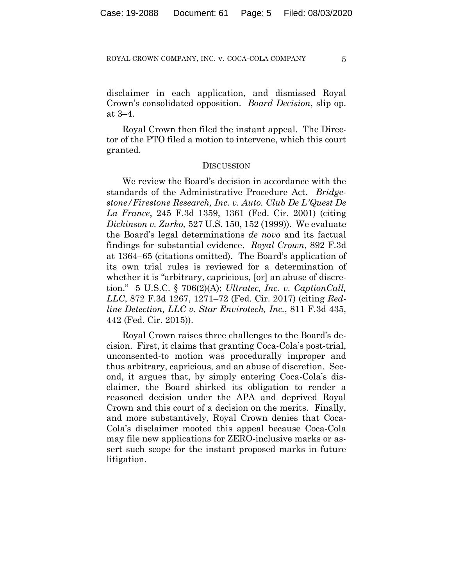disclaimer in each application, and dismissed Royal Crown's consolidated opposition. *Board Decision*, slip op. at 3–4.

Royal Crown then filed the instant appeal. The Director of the PTO filed a motion to intervene, which this court granted.

#### **DISCUSSION**

We review the Board's decision in accordance with the standards of the Administrative Procedure Act. *Bridgestone/Firestone Research, Inc. v. Auto. Club De L'Quest De La France*, 245 F.3d 1359, 1361 (Fed. Cir. 2001) (citing *Dickinson v. Zurko,* 527 U.S. 150, 152 (1999)). We evaluate the Board's legal determinations *de novo* and its factual findings for substantial evidence. *Royal Crown*, 892 F.3d at 1364–65 (citations omitted). The Board's application of its own trial rules is reviewed for a determination of whether it is "arbitrary, capricious, [or] an abuse of discretion." 5 U.S.C. § 706(2)(A); *Ultratec, Inc. v. CaptionCall, LLC*, 872 F.3d 1267, 1271–72 (Fed. Cir. 2017) (citing *Redline Detection, LLC v. Star Envirotech, Inc.*, 811 F.3d 435, 442 (Fed. Cir. 2015)).

Royal Crown raises three challenges to the Board's decision. First, it claims that granting Coca-Cola's post-trial, unconsented-to motion was procedurally improper and thus arbitrary, capricious, and an abuse of discretion. Second, it argues that, by simply entering Coca-Cola's disclaimer, the Board shirked its obligation to render a reasoned decision under the APA and deprived Royal Crown and this court of a decision on the merits. Finally, and more substantively, Royal Crown denies that Coca-Cola's disclaimer mooted this appeal because Coca-Cola may file new applications for ZERO-inclusive marks or assert such scope for the instant proposed marks in future litigation.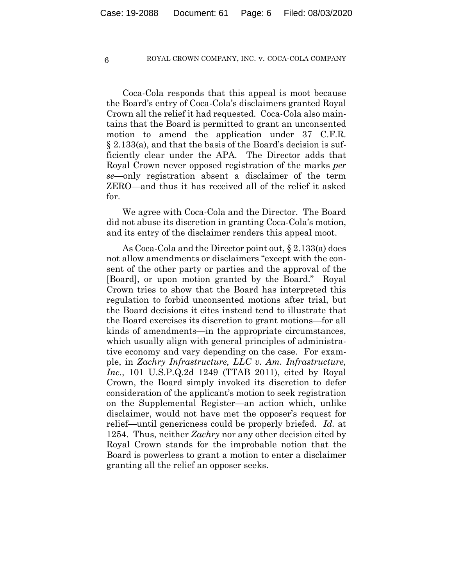Coca-Cola responds that this appeal is moot because the Board's entry of Coca-Cola's disclaimers granted Royal Crown all the relief it had requested. Coca-Cola also maintains that the Board is permitted to grant an unconsented motion to amend the application under 37 C.F.R. § 2.133(a), and that the basis of the Board's decision is sufficiently clear under the APA. The Director adds that Royal Crown never opposed registration of the marks *per se*—only registration absent a disclaimer of the term ZERO—and thus it has received all of the relief it asked for.

We agree with Coca-Cola and the Director. The Board did not abuse its discretion in granting Coca-Cola's motion, and its entry of the disclaimer renders this appeal moot.

As Coca-Cola and the Director point out, § 2.133(a) does not allow amendments or disclaimers "except with the consent of the other party or parties and the approval of the [Board], or upon motion granted by the Board." Royal Crown tries to show that the Board has interpreted this regulation to forbid unconsented motions after trial, but the Board decisions it cites instead tend to illustrate that the Board exercises its discretion to grant motions—for all kinds of amendments—in the appropriate circumstances, which usually align with general principles of administrative economy and vary depending on the case. For example, in *Zachry Infrastructure, LLC v. Am. Infrastructure, Inc.*, 101 U.S.P.Q.2d 1249 (TTAB 2011), cited by Royal Crown, the Board simply invoked its discretion to defer consideration of the applicant's motion to seek registration on the Supplemental Register—an action which, unlike disclaimer, would not have met the opposer's request for relief—until genericness could be properly briefed. *Id.* at 1254. Thus, neither *Zachry* nor any other decision cited by Royal Crown stands for the improbable notion that the Board is powerless to grant a motion to enter a disclaimer granting all the relief an opposer seeks.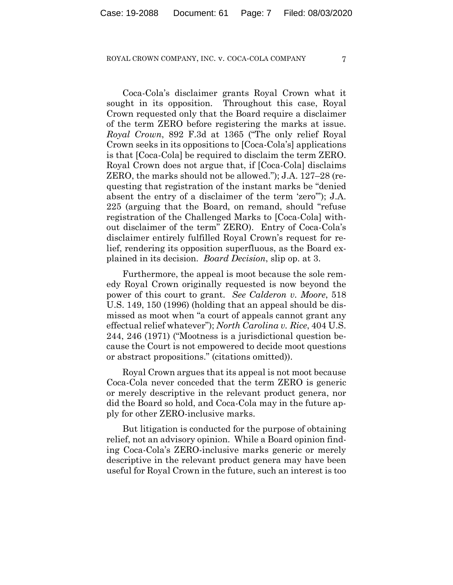Coca-Cola's disclaimer grants Royal Crown what it sought in its opposition. Throughout this case, Royal Crown requested only that the Board require a disclaimer of the term ZERO before registering the marks at issue. *Royal Crown*, 892 F.3d at 1365 ("The only relief Royal Crown seeks in its oppositions to [Coca-Cola's] applications is that [Coca-Cola] be required to disclaim the term ZERO. Royal Crown does not argue that, if [Coca-Cola] disclaims ZERO, the marks should not be allowed."); J.A. 127–28 (requesting that registration of the instant marks be "denied absent the entry of a disclaimer of the term 'zero'"); J.A. 225 (arguing that the Board, on remand, should "refuse registration of the Challenged Marks to [Coca-Cola] without disclaimer of the term" ZERO). Entry of Coca-Cola's disclaimer entirely fulfilled Royal Crown's request for relief, rendering its opposition superfluous, as the Board explained in its decision. *Board Decision*, slip op. at 3.

Furthermore, the appeal is moot because the sole remedy Royal Crown originally requested is now beyond the power of this court to grant. *See Calderon v. Moore*, 518 U.S. 149, 150 (1996) (holding that an appeal should be dismissed as moot when "a court of appeals cannot grant any effectual relief whatever"); *North Carolina v. Rice*, 404 U.S. 244, 246 (1971) ("Mootness is a jurisdictional question because the Court is not empowered to decide moot questions or abstract propositions." (citations omitted)).

Royal Crown argues that its appeal is not moot because Coca-Cola never conceded that the term ZERO is generic or merely descriptive in the relevant product genera, nor did the Board so hold, and Coca-Cola may in the future apply for other ZERO-inclusive marks.

But litigation is conducted for the purpose of obtaining relief, not an advisory opinion. While a Board opinion finding Coca-Cola's ZERO-inclusive marks generic or merely descriptive in the relevant product genera may have been useful for Royal Crown in the future, such an interest is too